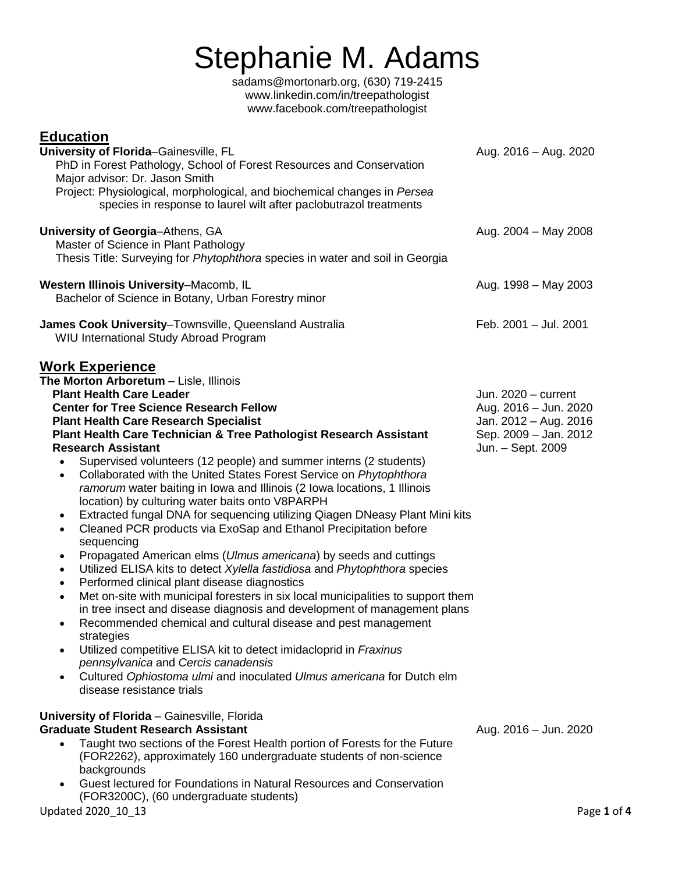# Stephanie M. Adam[s](mailto:sadams@mortonarb.org)

[sadams@mortonarb.org,](mailto:sadams@mortonarb.org) (630) 719-2415 [www.linkedin.com/in/treepathologist](http://www.linkedin.com/in/treepathologist) [www.facebook.com/treepathologist](http://www.facebook.com/treepathologist)

| <u>Education</u><br>University of Florida-Gainesville, FL<br>PhD in Forest Pathology, School of Forest Resources and Conservation<br>Major advisor: Dr. Jason Smith<br>Project: Physiological, morphological, and biochemical changes in Persea<br>species in response to laurel wilt after paclobutrazol treatments                               | Aug. 2016 - Aug. 2020                                               |
|----------------------------------------------------------------------------------------------------------------------------------------------------------------------------------------------------------------------------------------------------------------------------------------------------------------------------------------------------|---------------------------------------------------------------------|
| University of Georgia-Athens, GA<br>Master of Science in Plant Pathology<br>Thesis Title: Surveying for Phytophthora species in water and soil in Georgia                                                                                                                                                                                          | Aug. 2004 - May 2008                                                |
| Western Illinois University-Macomb, IL<br>Bachelor of Science in Botany, Urban Forestry minor                                                                                                                                                                                                                                                      | Aug. 1998 - May 2003                                                |
| James Cook University-Townsville, Queensland Australia<br><b>WIU International Study Abroad Program</b>                                                                                                                                                                                                                                            | Feb. 2001 - Jul. 2001                                               |
| <b>Work Experience</b><br>The Morton Arboretum - Lisle, Illinois<br><b>Plant Health Care Leader</b><br><b>Center for Tree Science Research Fellow</b>                                                                                                                                                                                              | Jun. $2020 -$ current<br>Aug. 2016 - Jun. 2020                      |
| <b>Plant Health Care Research Specialist</b><br>Plant Health Care Technician & Tree Pathologist Research Assistant<br><b>Research Assistant</b><br>Supervised volunteers (12 people) and summer interns (2 students)<br>Collaborated with the United States Forest Service on Phytophthora<br>$\bullet$                                            | Jan. 2012 - Aug. 2016<br>Sep. 2009 - Jan. 2012<br>Jun. - Sept. 2009 |
| ramorum water baiting in Iowa and Illinois (2 Iowa locations, 1 Illinois<br>location) by culturing water baits onto V8PARPH<br>Extracted fungal DNA for sequencing utilizing Qiagen DNeasy Plant Mini kits<br>$\bullet$<br>Cleaned PCR products via ExoSap and Ethanol Precipitation before<br>$\bullet$                                           |                                                                     |
| sequencing<br>Propagated American elms (Ulmus americana) by seeds and cuttings<br>$\bullet$<br>Utilized ELISA kits to detect Xylella fastidiosa and Phytophthora species<br>$\bullet$<br>Performed clinical plant disease diagnostics<br>$\bullet$<br>Met on-site with municipal foresters in six local municipalities to support them             |                                                                     |
| $\bullet$<br>in tree insect and disease diagnosis and development of management plans<br>Recommended chemical and cultural disease and pest management<br>strategies<br>Utilized competitive ELISA kit to detect imidacloprid in Fraxinus                                                                                                          |                                                                     |
| pennsylvanica and Cercis canadensis<br>Cultured Ophiostoma ulmi and inoculated Ulmus americana for Dutch elm<br>disease resistance trials                                                                                                                                                                                                          |                                                                     |
| University of Florida - Gainesville, Florida<br><b>Graduate Student Research Assistant</b><br>Taught two sections of the Forest Health portion of Forests for the Future<br>$\bullet$<br>(FOR2262), approximately 160 undergraduate students of non-science<br>backgrounds<br>Guest lectured for Foundations in Natural Resources and Conservation | Aug. 2016 - Jun. 2020                                               |
| (FOR3200C), (60 undergraduate students)<br>Updated 2020 10 13                                                                                                                                                                                                                                                                                      | Page 1 of 4                                                         |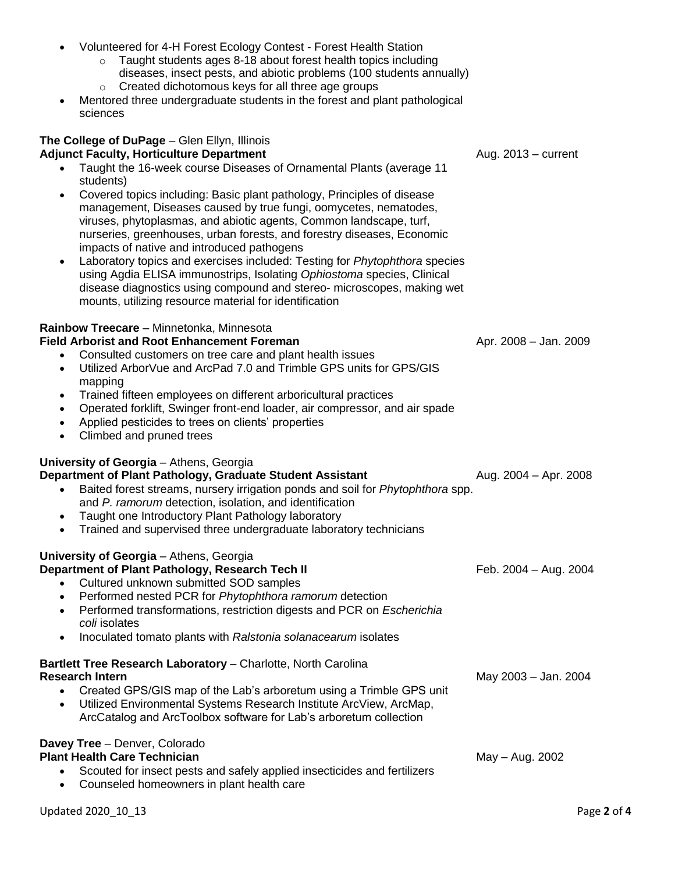diseases, insect pests, and abiotic problems (100 students annually) o Created dichotomous keys for all three age groups • Mentored three undergraduate students in the forest and plant pathological sciences **The College of DuPage** – Glen Ellyn, Illinois **Adjunct Faculty, Horticulture Department** Aug. 2013 – current • Taught the 16-week course Diseases of Ornamental Plants (average 11 students) • Covered topics including: Basic plant pathology, Principles of disease management, Diseases caused by true fungi, oomycetes, nematodes, viruses, phytoplasmas, and abiotic agents, Common landscape, turf, nurseries, greenhouses, urban forests, and forestry diseases, Economic impacts of native and introduced pathogens • Laboratory topics and exercises included: Testing for *Phytophthora* species using Agdia ELISA immunostrips, Isolating *Ophiostoma* species, Clinical disease diagnostics using compound and stereo- microscopes, making wet mounts, utilizing resource material for identification **Rainbow Treecare** – Minnetonka, Minnesota **Field Arborist and Root Enhancement Foreman** Apr. 2008 – Jan. 2009 – Jan. 2009 • Consulted customers on tree care and plant health issues • Utilized ArborVue and ArcPad 7.0 and Trimble GPS units for GPS/GIS mapping • Trained fifteen employees on different arboricultural practices • Operated forklift, Swinger front-end loader, air compressor, and air spade • Applied pesticides to trees on clients' properties • Climbed and pruned trees **University of Georgia** – Athens, Georgia **Department of Plant Pathology, Graduate Student Assistant Manual Aug. 2004 – Apr. 2008** • Baited forest streams, nursery irrigation ponds and soil for *Phytophthora* spp. and *P. ramorum* detection, isolation, and identification • Taught one Introductory Plant Pathology laboratory • Trained and supervised three undergraduate laboratory technicians **University of Georgia** – Athens, Georgia **Department of Plant Pathology, Research Tech II** Feb. 2004 – Aug. 2004 • Cultured unknown submitted SOD samples • Performed nested PCR for *Phytophthora ramorum* detection • Performed transformations, restriction digests and PCR on *Escherichia coli* isolates • Inoculated tomato plants with *Ralstonia solanacearum* isolates **Bartlett Tree Research Laboratory** – Charlotte, North Carolina **Research Intern** May 2003 – Jan. 2004 • Created GPS/GIS map of the Lab's arboretum using a Trimble GPS unit • Utilized Environmental Systems Research Institute ArcView, ArcMap, ArcCatalog and ArcToolbox software for Lab's arboretum collection **Davey Tree** – Denver, Colorado **Plant Health Care Technician** May – Aug. 2002 • Scouted for insect pests and safely applied insecticides and fertilizers

• Volunteered for 4-H Forest Ecology Contest - Forest Health Station

o Taught students ages 8-18 about forest health topics including

• Counseled homeowners in plant health care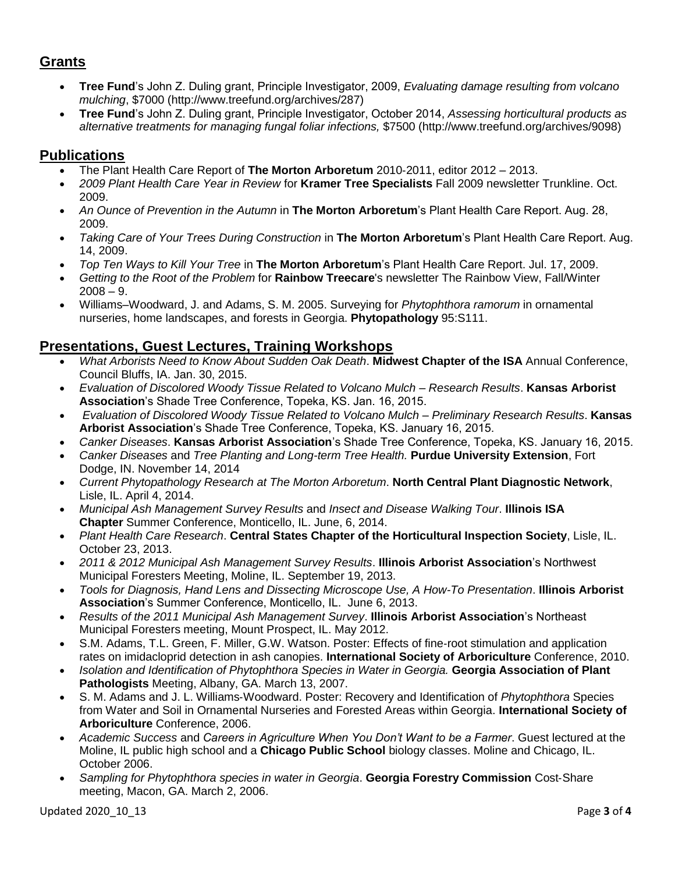## **Grants**

- **Tree Fund**'s John Z. Duling grant, Principle Investigator, 2009, *Evaluating damage resulting from volcano mulching*, \$7000 [\(http://www.treefund.org/archives/287\)](http://www.treefund.org/archives/287)
- **Tree Fund**'s John Z. Duling grant, Principle Investigator, October 2014, *Assessing horticultural products as alternative treatments for managing fungal foliar infections,* \$7500 [\(http://www.treefund.org/archives/9098\)](http://www.treefund.org/archives/9098)

## **Publications**

- The Plant Health Care Report of **The Morton Arboretum** 2010‐2011, editor 2012 2013.
- *2009 Plant Health Care Year in Review* for **Kramer Tree Specialists** Fall 2009 newsletter Trunkline. Oct. 2009.
- *An Ounce of Prevention in the Autumn* in **The Morton Arboretum**'s Plant Health Care Report. Aug. 28, 2009.
- *Taking Care of Your Trees During Construction* in **The Morton Arboretum**'s Plant Health Care Report. Aug. 14, 2009.
- *Top Ten Ways to Kill Your Tree* in **The Morton Arboretum**'s Plant Health Care Report. Jul. 17, 2009.
- *Getting to the Root of the Problem* for **Rainbow Treecare**'s newsletter The Rainbow View, Fall/Winter  $2008 - 9.$
- Williams–Woodward, J. and Adams, S. M. 2005. Surveying for *Phytophthora ramorum* in ornamental nurseries, home landscapes, and forests in Georgia. **Phytopathology** 95:S111.

## **Presentations, Guest Lectures, Training Workshops**

- *What Arborists Need to Know About Sudden Oak Death*. **Midwest Chapter of the ISA** Annual Conference, Council Bluffs, IA. Jan. 30, 2015.
- *Evaluation of Discolored Woody Tissue Related to Volcano Mulch – Research Results*. **Kansas Arborist Association**'s Shade Tree Conference, Topeka, KS. Jan. 16, 2015.
- *Evaluation of Discolored Woody Tissue Related to Volcano Mulch – Preliminary Research Results*. **Kansas Arborist Association**'s Shade Tree Conference, Topeka, KS. January 16, 2015.
- *Canker Diseases*. **Kansas Arborist Association**'s Shade Tree Conference, Topeka, KS. January 16, 2015.
- *Canker Diseases* and *Tree Planting and Long-term Tree Health.* **Purdue University Extension**, Fort Dodge, IN. November 14, 2014
- *Current Phytopathology Research at The Morton Arboretum*. **North Central Plant Diagnostic Network**, Lisle, IL. April 4, 2014.
- *Municipal Ash Management Survey Results* and *Insect and Disease Walking Tour*. **Illinois ISA Chapter** Summer Conference, Monticello, IL. June, 6, 2014.
- *Plant Health Care Research*. **Central States Chapter of the Horticultural Inspection Society**, Lisle, IL. October 23, 2013.
- *2011 & 2012 Municipal Ash Management Survey Results*. **Illinois Arborist Association**'s Northwest Municipal Foresters Meeting, Moline, IL. September 19, 2013.
- *Tools for Diagnosis, Hand Lens and Dissecting Microscope Use, A How-To Presentation*. **Illinois Arborist Association**'s Summer Conference, Monticello, IL. June 6, 2013.
- *Results of the 2011 Municipal Ash Management Survey*. **Illinois Arborist Association**'s Northeast Municipal Foresters meeting, Mount Prospect, IL. May 2012.
- S.M. Adams, T.L. Green, F. Miller, G.W. Watson. Poster: Effects of fine‐root stimulation and application rates on imidacloprid detection in ash canopies. **International Society of Arboriculture** Conference, 2010.
- *Isolation and Identification of Phytophthora Species in Water in Georgia.* **Georgia Association of Plant Pathologists** Meeting, Albany, GA. March 13, 2007.
- S. M. Adams and J. L. Williams‐Woodward. Poster: Recovery and Identification of *Phytophthora* Species from Water and Soil in Ornamental Nurseries and Forested Areas within Georgia. **International Society of Arboriculture** Conference, 2006.
- *Academic Success* and *Careers in Agriculture When You Don't Want to be a Farmer*. Guest lectured at the Moline, IL public high school and a **Chicago Public School** biology classes. Moline and Chicago, IL. October 2006.
- *Sampling for Phytophthora species in water in Georgia*. **Georgia Forestry Commission** Cost‐Share meeting, Macon, GA. March 2, 2006.